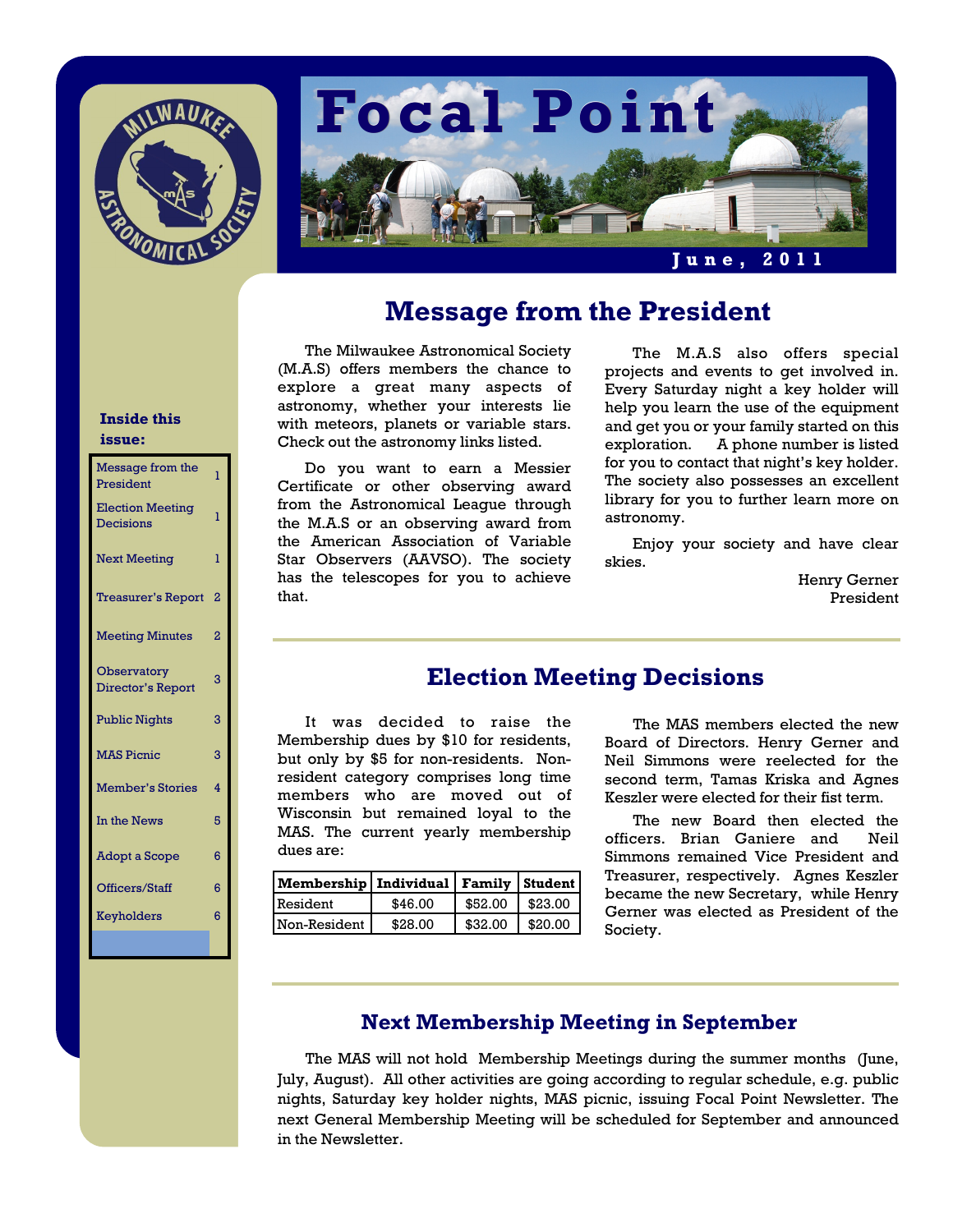



# **Message from the President**

The Milwaukee Astronomical Society (M.A.S) offers members the chance to explore a great many aspects of astronomy, whether your interests lie with meteors, planets or variable stars. Check out the astronomy links listed.

 Do you want to earn a Messier Certificate or other observing award from the Astronomical League through the M.A.S or an observing award from the American Association of Variable Star Observers (AAVSO). The society has the telescopes for you to achieve that.

 The M.A.S also offers special projects and events to get involved in. Every Saturday night a key holder will help you learn the use of the equipment and get you or your family started on this exploration. A phone number is listed for you to contact that night's key holder. The society also possesses an excellent library for you to further learn more on astronomy.

 Enjoy your society and have clear skies.

> Henry Gerner President

## **Election Meeting Decisions**

It was decided to raise the Membership dues by \$10 for residents, but only by \$5 for non-residents. Nonresident category comprises long time members who are moved out of Wisconsin but remained loyal to the MAS. The current yearly membership dues are:

| Membership   Individual   Family   Student |         |                    |         |
|--------------------------------------------|---------|--------------------|---------|
| Resident                                   | \$46.00 | $$52.00$   \$23.00 |         |
| Non-Resident                               | \$28.00 | \$32.00            | \$20.00 |

 The MAS members elected the new Board of Directors. Henry Gerner and Neil Simmons were reelected for the second term, Tamas Kriska and Agnes Keszler were elected for their fist term.

 The new Board then elected the officers. Brian Ganiere and Neil Simmons remained Vice President and Treasurer, respectively. Agnes Keszler became the new Secretary, while Henry Gerner was elected as President of the Society.

### **Next Membership Meeting in September**

 The MAS will not hold Membership Meetings during the summer months (June, July, August). All other activities are going according to regular schedule, e.g. public nights, Saturday key holder nights, MAS picnic, issuing Focal Point Newsletter. The next General Membership Meeting will be scheduled for September and announced in the Newsletter.

#### **Inside this issue:**

| Message from the<br>President           | ī              |
|-----------------------------------------|----------------|
| <b>Election Meeting</b><br>Decisions    | ī              |
| <b>Next Meeting</b>                     | ī              |
| <b>Treasurer's Report</b>               | 2              |
| <b>Meeting Minutes</b>                  | 2              |
| <b>Observatory</b><br>Director's Report | 3              |
| <b>Public Nights</b>                    | 3              |
| <b>MAS Picnic</b>                       | 3              |
| <b>Member's Stories</b>                 | $\overline{a}$ |
| In the News                             | 5              |
| Adopt a Scope                           | 6              |
| Officers/Staff                          | 6              |
| Keyholders                              | 6              |
|                                         |                |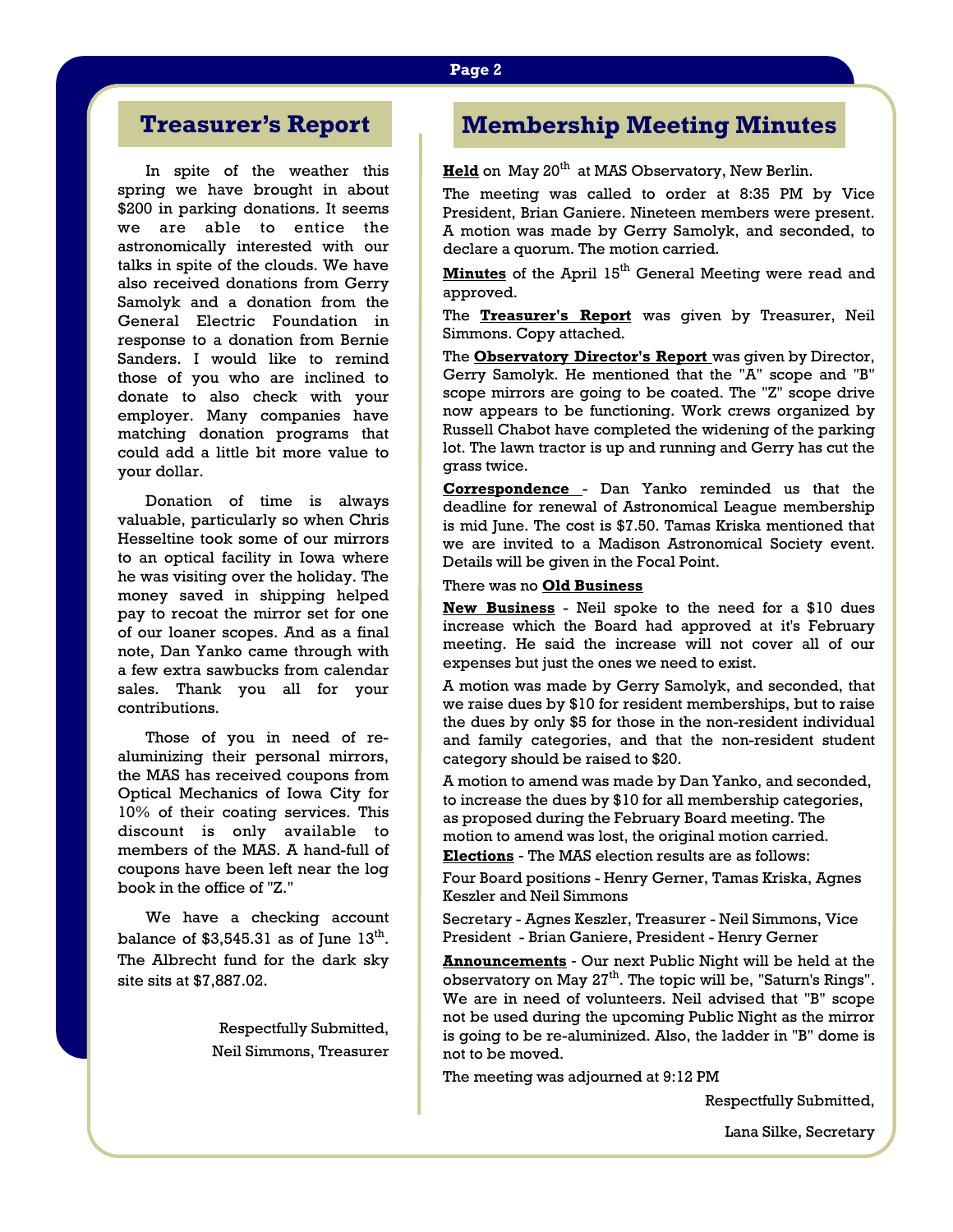# **Treasurer's Report**

In spite of the weather this spring we have brought in about \$200 in parking donations. It seems we are able to entice the astronomically interested with our talks in spite of the clouds. We have also received donations from Gerry Samolyk and a donation from the General Electric Foundation in response to a donation from Bernie Sanders. I would like to remind those of you who are inclined to donate to also check with your employer. Many companies have matching donation programs that could add a little bit more value to your dollar.

 Donation of time is always valuable, particularly so when Chris Hesseltine took some of our mirrors to an optical facility in Iowa where he was visiting over the holiday. The money saved in shipping helped pay to recoat the mirror set for one of our loaner scopes. And as a final note, Dan Yanko came through with a few extra sawbucks from calendar sales. Thank you all for your contributions.

 Those of you in need of realuminizing their personal mirrors, the MAS has received coupons from Optical Mechanics of Iowa City for 10% of their coating services. This discount is only available to members of the MAS. A hand-full of coupons have been left near the log book in the office of "Z."

 We have a checking account balance of  $$3,545.31$  as of June  $13<sup>th</sup>$ . The Albrecht fund for the dark sky site sits at \$7,887.02.

> Respectfully Submitted, Neil Simmons, Treasurer

# **Membership Meeting Minutes**

Held on May 20<sup>th</sup> at MAS Observatory, New Berlin.

The meeting was called to order at 8:35 PM by Vice President, Brian Ganiere. Nineteen members were present. A motion was made by Gerry Samolyk, and seconded, to declare a quorum. The motion carried.

**Minutes** of the April 15<sup>th</sup> General Meeting were read and approved.

The **Treasurer's Report** was given by Treasurer, Neil Simmons. Copy attached.

The **Observatory Director's Report** was given by Director, Gerry Samolyk. He mentioned that the "A" scope and "B" scope mirrors are going to be coated. The "Z" scope drive now appears to be functioning. Work crews organized by Russell Chabot have completed the widening of the parking lot. The lawn tractor is up and running and Gerry has cut the grass twice.

**Correspondence** - Dan Yanko reminded us that the deadline for renewal of Astronomical League membership is mid June. The cost is \$7.50. Tamas Kriska mentioned that we are invited to a Madison Astronomical Society event. Details will be given in the Focal Point.

#### There was no **Old Business**

**New Business** - Neil spoke to the need for a \$10 dues increase which the Board had approved at it's February meeting. He said the increase will not cover all of our expenses but just the ones we need to exist.

A motion was made by Gerry Samolyk, and seconded, that we raise dues by \$10 for resident memberships, but to raise the dues by only \$5 for those in the non-resident individual and family categories, and that the non-resident student category should be raised to \$20.

A motion to amend was made by Dan Yanko, and seconded, to increase the dues by \$10 for all membership categories, as proposed during the February Board meeting. The motion to amend was lost, the original motion carried.

**Elections** - The MAS election results are as follows:

Four Board positions - Henry Gerner, Tamas Kriska, Agnes Keszler and Neil Simmons

Secretary - Agnes Keszler, Treasurer - Neil Simmons, Vice President - Brian Ganiere, President - Henry Gerner

**Announcements** - Our next Public Night will be held at the observatory on May  $27<sup>th</sup>$ . The topic will be, "Saturn's Rings". We are in need of volunteers. Neil advised that "B" scope not be used during the upcoming Public Night as the mirror is going to be re-aluminized. Also, the ladder in "B" dome is not to be moved.

The meeting was adjourned at 9:12 PM

Respectfully Submitted,

Lana Silke, Secretary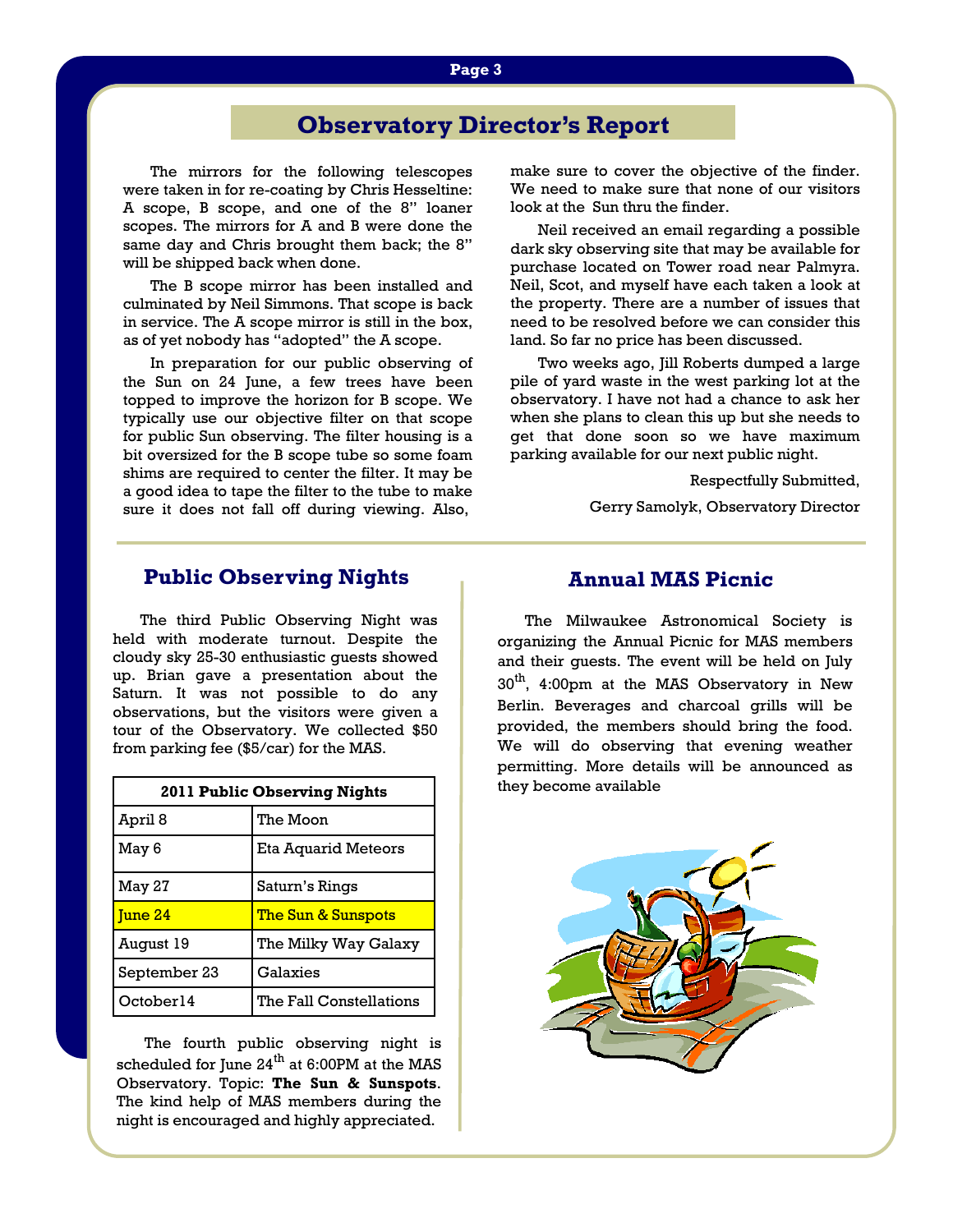# **Observatory Director's Report**

 The mirrors for the following telescopes were taken in for re-coating by Chris Hesseltine: A scope, B scope, and one of the 8" loaner scopes. The mirrors for A and B were done the same day and Chris brought them back; the 8" will be shipped back when done.

 The B scope mirror has been installed and culminated by Neil Simmons. That scope is back in service. The A scope mirror is still in the box, as of yet nobody has "adopted" the A scope.

 In preparation for our public observing of the Sun on 24 June, a few trees have been topped to improve the horizon for B scope. We typically use our objective filter on that scope for public Sun observing. The filter housing is a bit oversized for the B scope tube so some foam shims are required to center the filter. It may be a good idea to tape the filter to the tube to make sure it does not fall off during viewing. Also,

make sure to cover the objective of the finder. We need to make sure that none of our visitors look at the Sun thru the finder.

 Neil received an email regarding a possible dark sky observing site that may be available for purchase located on Tower road near Palmyra. Neil, Scot, and myself have each taken a look at the property. There are a number of issues that need to be resolved before we can consider this land. So far no price has been discussed.

 Two weeks ago, Jill Roberts dumped a large pile of yard waste in the west parking lot at the observatory. I have not had a chance to ask her when she plans to clean this up but she needs to get that done soon so we have maximum parking available for our next public night.

Respectfully Submitted,

Gerry Samolyk, Observatory Director

#### **Public Observing Nights**

 The third Public Observing Night was held with moderate turnout. Despite the cloudy sky 25-30 enthusiastic guests showed up. Brian gave a presentation about the Saturn. It was not possible to do any observations, but the visitors were given a tour of the Observatory. We collected \$50 from parking fee (\$5/car) for the MAS.

| <b>2011 Public Observing Nights</b> |                               |  |
|-------------------------------------|-------------------------------|--|
| April 8                             | The Moon                      |  |
| May 6                               | Eta Aquarid Meteors           |  |
| May 27                              | Saturn's Rings                |  |
| Tune 24                             | <u>The Sun &amp; Sunspots</u> |  |
| August 19                           | The Milky Way Galaxy          |  |
| September 23                        | Galaxies                      |  |
| October14                           | The Fall Constellations       |  |

 The fourth public observing night is scheduled for June  $24^{th}$  at 6:00PM at the MAS Observatory. Topic: **The Sun & Sunspots**. The kind help of MAS members during the night is encouraged and highly appreciated.

#### **Annual MAS Picnic**

 The Milwaukee Astronomical Society is organizing the Annual Picnic for MAS members and their guests. The event will be held on July 30<sup>th</sup>, 4:00pm at the MAS Observatory in New Berlin. Beverages and charcoal grills will be provided, the members should bring the food. We will do observing that evening weather permitting. More details will be announced as they become available

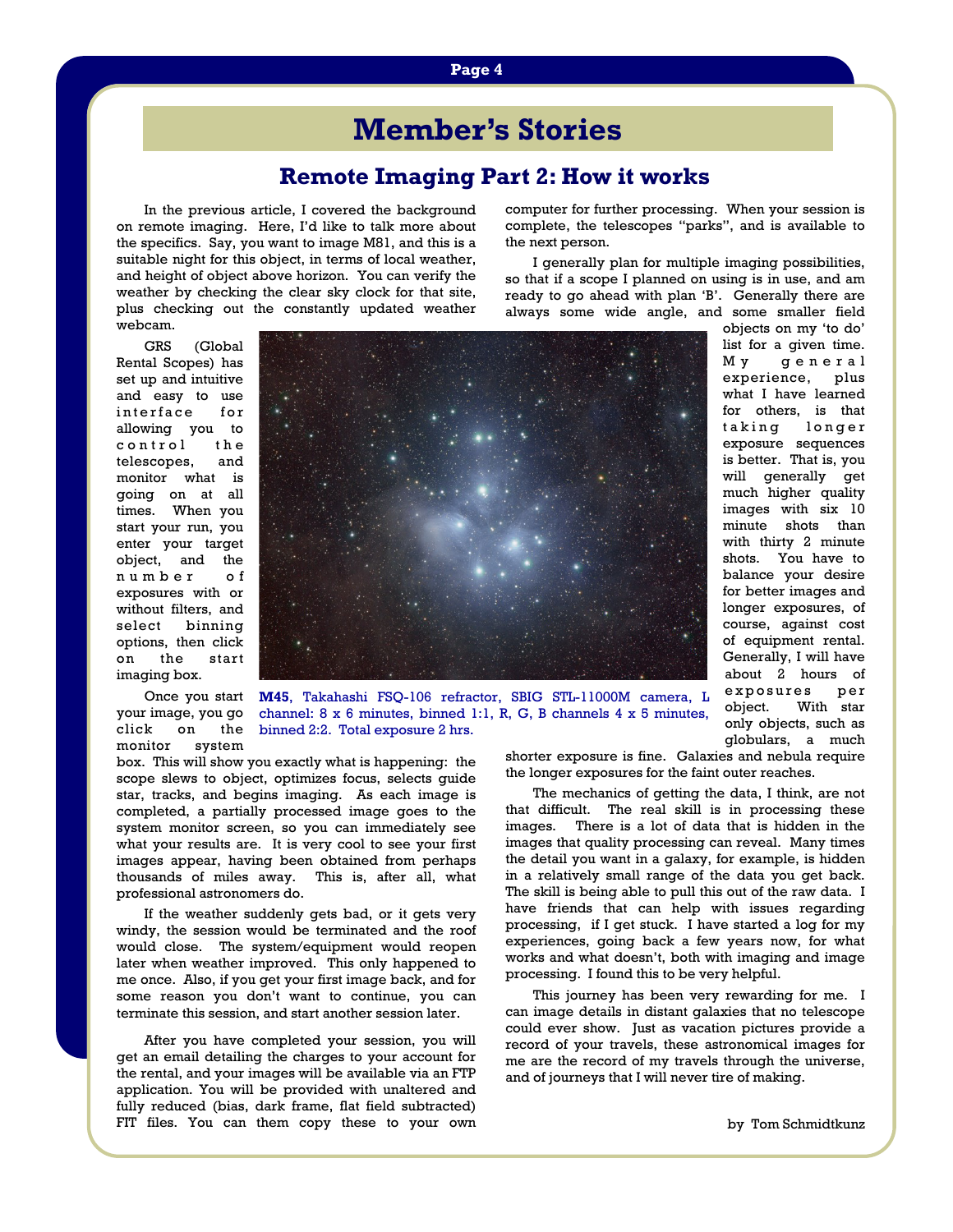# **Member's Stories**

### **Remote Imaging Part 2: How it works**

In the previous article, I covered the background on remote imaging. Here, I'd like to talk more about the specifics. Say, you want to image M81, and this is a suitable night for this object, in terms of local weather, and height of object above horizon. You can verify the weather by checking the clear sky clock for that site, plus checking out the constantly updated weather webcam.

computer for further processing. When your session is complete, the telescopes "parks", and is available to the next person.

 I generally plan for multiple imaging possibilities, so that if a scope I planned on using is in use, and am ready to go ahead with plan 'B'. Generally there are always some wide angle, and some smaller field

 GRS (Global Rental Scopes) has set up and intuitive and easy to use interface for allowing you to control the telescopes, and monitor what is going on at all times. When you start your run, you enter your target object, and the number of exposures with or without filters, and select binning options, then click on the start imaging box.

 Once you start your image, you go click on the monitor system



objects on my 'to do' list for a given time. M y g e n e r a l experience, plus what I have learned for others, is that taking longer exposure sequences is better. That is, you will generally get much higher quality images with six 10 minute shots than with thirty 2 minute shots. You have to balance your desire for better images and longer exposures, of course, against cost of equipment rental. Generally, I will have about 2 hours of exposures per object. With star only objects, such as globulars, a much

**M45**, Takahashi FSQ-106 refractor, SBIG STL-11000M camera, L channel: 8 x 6 minutes, binned 1:1, R, G, B channels 4 x 5 minutes, binned 2:2. Total exposure 2 hrs.

box. This will show you exactly what is happening: the scope slews to object, optimizes focus, selects guide star, tracks, and begins imaging. As each image is completed, a partially processed image goes to the system monitor screen, so you can immediately see what your results are. It is very cool to see your first images appear, having been obtained from perhaps thousands of miles away. This is, after all, what professional astronomers do.

 If the weather suddenly gets bad, or it gets very windy, the session would be terminated and the roof would close. The system/equipment would reopen later when weather improved. This only happened to me once. Also, if you get your first image back, and for some reason you don't want to continue, you can terminate this session, and start another session later.

 After you have completed your session, you will get an email detailing the charges to your account for the rental, and your images will be available via an FTP application. You will be provided with unaltered and fully reduced (bias, dark frame, flat field subtracted) FIT files. You can them copy these to your own shorter exposure is fine. Galaxies and nebula require the longer exposures for the faint outer reaches.

 The mechanics of getting the data, I think, are not that difficult. The real skill is in processing these images. There is a lot of data that is hidden in the images that quality processing can reveal. Many times the detail you want in a galaxy, for example, is hidden in a relatively small range of the data you get back. The skill is being able to pull this out of the raw data. I have friends that can help with issues regarding processing, if I get stuck. I have started a log for my experiences, going back a few years now, for what works and what doesn't, both with imaging and image processing. I found this to be very helpful.

 This journey has been very rewarding for me. I can image details in distant galaxies that no telescope could ever show. Just as vacation pictures provide a record of your travels, these astronomical images for me are the record of my travels through the universe, and of journeys that I will never tire of making.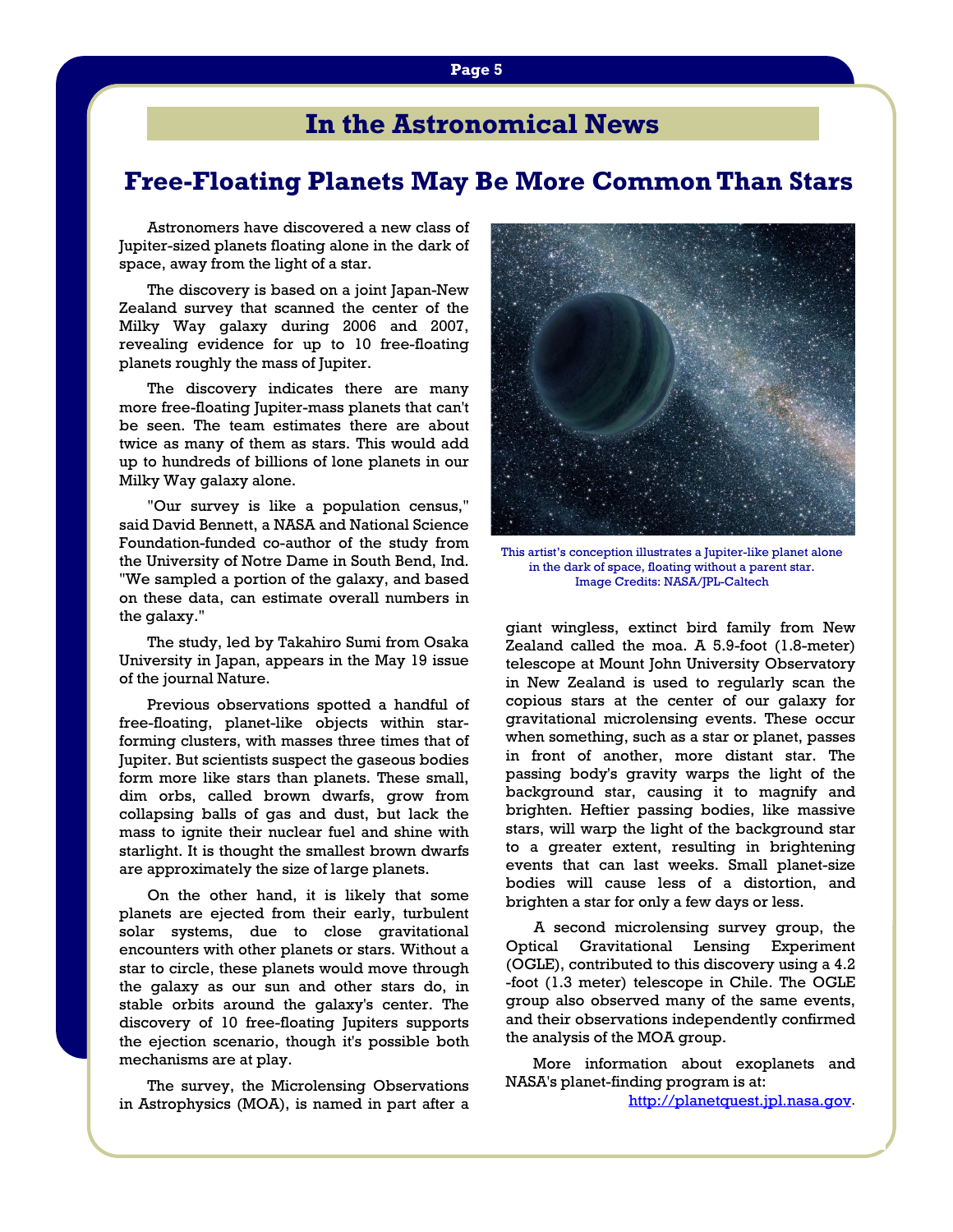# **In the Astronomical News**

## **Free-Floating Planets May Be More Common Than Stars**

Astronomers have discovered a new class of Jupiter-sized planets floating alone in the dark of space, away from the light of a star.

 The discovery is based on a joint Japan-New Zealand survey that scanned the center of the Milky Way galaxy during 2006 and 2007, revealing evidence for up to 10 free-floating planets roughly the mass of Jupiter.

 The discovery indicates there are many more free-floating Jupiter-mass planets that can't be seen. The team estimates there are about twice as many of them as stars. This would add up to hundreds of billions of lone planets in our Milky Way galaxy alone.

 "Our survey is like a population census," said David Bennett, a NASA and National Science Foundation-funded co-author of the study from the University of Notre Dame in South Bend, Ind. "We sampled a portion of the galaxy, and based on these data, can estimate overall numbers in the galaxy."

 The study, led by Takahiro Sumi from Osaka University in Japan, appears in the May 19 issue of the journal Nature.

 Previous observations spotted a handful of free-floating, planet-like objects within starforming clusters, with masses three times that of Jupiter. But scientists suspect the gaseous bodies form more like stars than planets. These small, dim orbs, called brown dwarfs, grow from collapsing balls of gas and dust, but lack the mass to ignite their nuclear fuel and shine with starlight. It is thought the smallest brown dwarfs are approximately the size of large planets.

 On the other hand, it is likely that some planets are ejected from their early, turbulent solar systems, due to close gravitational encounters with other planets or stars. Without a star to circle, these planets would move through the galaxy as our sun and other stars do, in stable orbits around the galaxy's center. The discovery of 10 free-floating Jupiters supports the ejection scenario, though it's possible both mechanisms are at play.

 The survey, the Microlensing Observations in Astrophysics (MOA), is named in part after a



This artist's conception illustrates a Jupiter-like planet alone in the dark of space, floating without a parent star. Image Credits: NASA/JPL-Caltech

giant wingless, extinct bird family from New Zealand called the moa. A 5.9-foot (1.8-meter) telescope at Mount John University Observatory in New Zealand is used to regularly scan the copious stars at the center of our galaxy for gravitational microlensing events. These occur when something, such as a star or planet, passes in front of another, more distant star. The passing body's gravity warps the light of the background star, causing it to magnify and brighten. Heftier passing bodies, like massive stars, will warp the light of the background star to a greater extent, resulting in brightening events that can last weeks. Small planet-size bodies will cause less of a distortion, and brighten a star for only a few days or less.

 A second microlensing survey group, the Optical Gravitational Lensing Experiment (OGLE), contributed to this discovery using a 4.2 -foot (1.3 meter) telescope in Chile. The OGLE group also observed many of the same events, and their observations independently confirmed the analysis of the MOA group.

 More information about exoplanets and NASA's planet-finding program is at:

<http://planetquest.jpl.nasa.gov>.